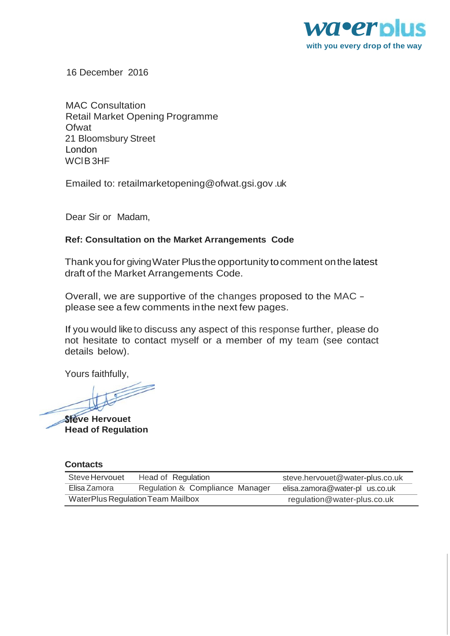

16 December 2016

MAC Consultation Retail Market Opening Programme **Ofwat** 21 Bloomsbury Street London WClB3HF

Emailed to: retailmarketopen[ing@ofwat.gsi.gov](mailto:ng@ofwat.gsi.gov) .uk

Dear Sir or Madam,

#### **Ref: Consultation on the Market Arrangements Code**

Thank youfor givingWater Plusthe opportunity tocomment onthe latest draft of the Market Arrangements Code.

Overall, we are supportive of the changes proposed to the MAC please see a few comments inthe next few pages.

If you would liketo discuss any aspect of this response further, please do not hesitate to contact myself or a member of my team (see contact details below).

Yours faithfully,

*<u>Steve</u>* Hervouet **Head of Regulation**

#### **Contacts**

| Steve Hervouet                    | Head of Regulation              | steve.hervouet@water-plus.co.uk |
|-----------------------------------|---------------------------------|---------------------------------|
| Elisa Zamora                      | Regulation & Compliance Manager | elisa.zamora@water-pl us.co.uk  |
| WaterPlus Regulation Team Mailbox |                                 | regulation@water-plus.co.uk     |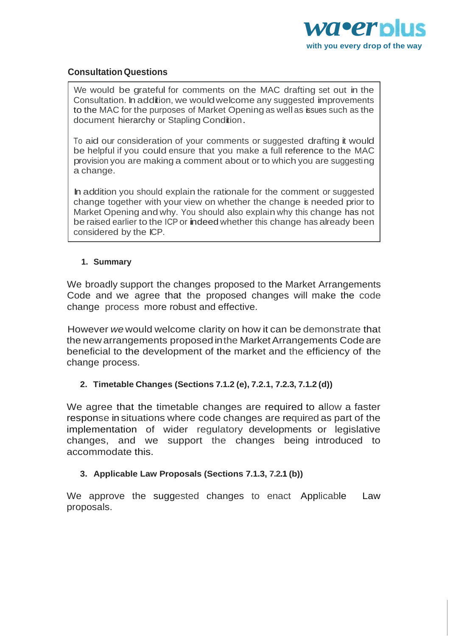

## **ConsultationQuestions**

We would be grateful for comments on the MAC drafting set out in the Consultation. In addition, we wouldwelcome any suggested improvements to the MAC for the purposes of Market Opening as well as issues such as the document hierarchy or Stapling Condition.

To aid our consideration of your comments or suggested drafting it would be helpful if you could ensure that you make a full reference to the MAC provision you are making a comment about or to which you are suggesting a change.

In addition you should explain the rationale for the comment or suggested change together with your view on whether the change is needed prior to Market Opening and why. You should also explain why this change has not be raised earlier to the ICP or indeed whether this change has already been considered by the ICP.

### **1. Summary**

We broadly support the changes proposed to the Market Arrangements Code and we agree that the proposed changes will make the code change process more robust and effective.

However *we* would welcome clarity on how it can be demonstrate that the new arrangements proposed inthe MarketArrangements Code are beneficial to the development of the market and the efficiency of the change process.

# **2. Timetable Changes (Sections 7.1.2 (e), 7.2.1, 7.2.3, 7.1.2 (d))**

We agree that the timetable changes are required to allow a faster response in situations where code changes are required as part of the implementation of wider regulatory developments or legislative changes, and we support the changes being introduced to accommodate this.

### **3. Applicable Law Proposals (Sections 7.1.3, 7.2.1 (b))**

We approve the suggested changes to enact Applicable Law proposals.